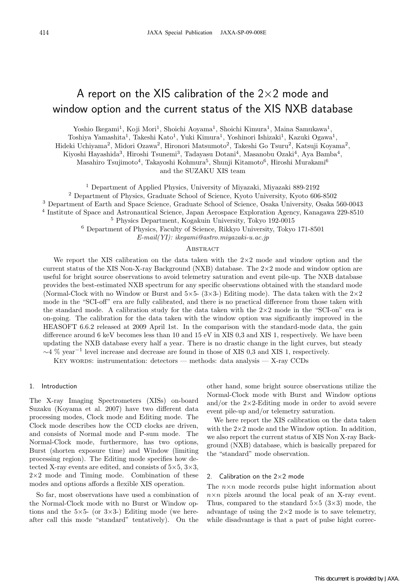# A report on the XIS calibration of the 2*×*2 mode and window option and the current status of the XIS NXB database

Yoshio Ikegami<sup>1</sup>, Koji Mori<sup>1</sup>, Shoichi Aoyama<sup>1</sup>, Shoichi Kimura<sup>1</sup>, Maina Samukawa<sup>1</sup>,

Toshiya Yamashita<sup>1</sup>, Takeshi Kato<sup>1</sup>, Yuki Kimura<sup>1</sup>, Yoshinori Ishizaki<sup>1</sup>, Kazuki Ogawa<sup>1</sup>,

Hideki Uchiyama<sup>2</sup>, Midori Ozawa<sup>2</sup>, Hironori Matsumoto<sup>2</sup>, Takeshi Go Tsuru<sup>2</sup>, Katsuji Koyama<sup>2</sup>,

Kiyoshi Hayashida<sup>3</sup>, Hiroshi Tsunemi<sup>3</sup>, Tadayasu Dotani<sup>4</sup>, Masanobu Ozaki<sup>4</sup>, Aya Bamba<sup>4</sup>,

Masahiro Tsujimoto<sup>4</sup>, Takayoshi Kohmura<sup>5</sup>, Shunji Kitamoto<sup>6</sup>, Hiroshi Murakami<sup>6</sup> and the SUZAKU XIS team

<sup>1</sup> Department of Applied Physics, University of Miyazaki, Miyazaki 889-2192

<sup>2</sup> Department of Physics, Graduate School of Science, Kyoto University, Kyoto 606-8502

<sup>3</sup> Department of Earth and Space Science, Graduate School of Science, Osaka University, Osaka 560-0043

<sup>4</sup> Institute of Space and Astronautical Science, Japan Aerospace Exploration Agency, Kanagawa 229-8510

<sup>5</sup> Physics Department, Kogakuin University, Tokyo 192-0015

<sup>6</sup> Department of Physics, Faculty of Science, Rikkyo University, Tokyo 171-8501

*E-mail(YI): ikegami@astro.miyazaki-u.ac.jp*

## **ABSTRACT**

We report the XIS calibration on the data taken with the 2*×*2 mode and window option and the current status of the XIS Non-X-ray Background (NXB) database. The 2*×*2 mode and window option are useful for bright source observations to avoid telemetry saturation and event pile-up. The NXB database provides the best-estimated NXB spectrum for any specific observations obtained with the standard mode (Normal-Clock with no Window or Burst and 5*×*5- (3*×*3-) Editing mode). The data taken with the 2*×*2 mode in the "SCI-off" era are fully calibrated, and there is no practical difference from those taken with the standard mode. A calibration study for the data taken with the 2*×*2 mode in the "SCI-on" era is on-going. The calibration for the data taken with the window option was significantly improved in the HEASOFT 6.6.2 released at 2009 April 1st. In the comparison with the standard-mode data, the gain difference around 6 keV becomes less than 10 and 15 eV in XIS 0,3 and XIS 1, respectively. We have been updating the NXB database every half a year. There is no drastic change in the light curves, but steady *<sup>∼</sup>*4 % year*−*<sup>1</sup> level increase and decrease are found in those of XIS 0,3 and XIS 1, respectively.

KEY WORDS: instrumentation: detectors — methods: data analysis — X-ray CCDs

## 1. Introduction

The X-ray Imaging Spectrometers (XISs) on-board Suzaku (Koyama et al. 2007) have two different data processing modes, Clock mode and Editing mode. The Clock mode describes how the CCD clocks are driven, and consists of Normal mode and P-sum mode. The Normal-Clock mode, furthermore, has two options, Burst (shorten exposure time) and Window (limiting processing region). The Editing mode specifies how detected X-ray events are edited, and consists of 5*×*5, 3*×*3, 2*×*2 mode and Timing mode. Combination of these modes and options affords a flexible XIS operation.

So far, most observations have used a combination of the Normal-Clock mode with no Burst or Window options and the 5*×*5- (or 3*×*3-) Editing mode (we hereafter call this mode "standard" tentatively). On the

other hand, some bright source observations utilize the Normal-Clock mode with Burst and Window options and/or the 2*×*2-Editing mode in order to avoid severe event pile-up and/or telemetry saturation.

We here report the XIS calibration on the data taken with the 2*×*2 mode and the Window option. In addition, we also report the current status of XIS Non X-ray Background (NXB) database, which is basically prepared for the "standard" mode observation.

### 2. Calibration on the 2*×*2 mode

The  $n \times n$  mode records pulse hight information about  $n \times n$  pixels around the local peak of an X-ray event. Thus, compared to the standard 5*×*5 (3*×*3) mode, the advantage of using the 2*×*2 mode is to save telemetry, while disadvantage is that a part of pulse hight correc-